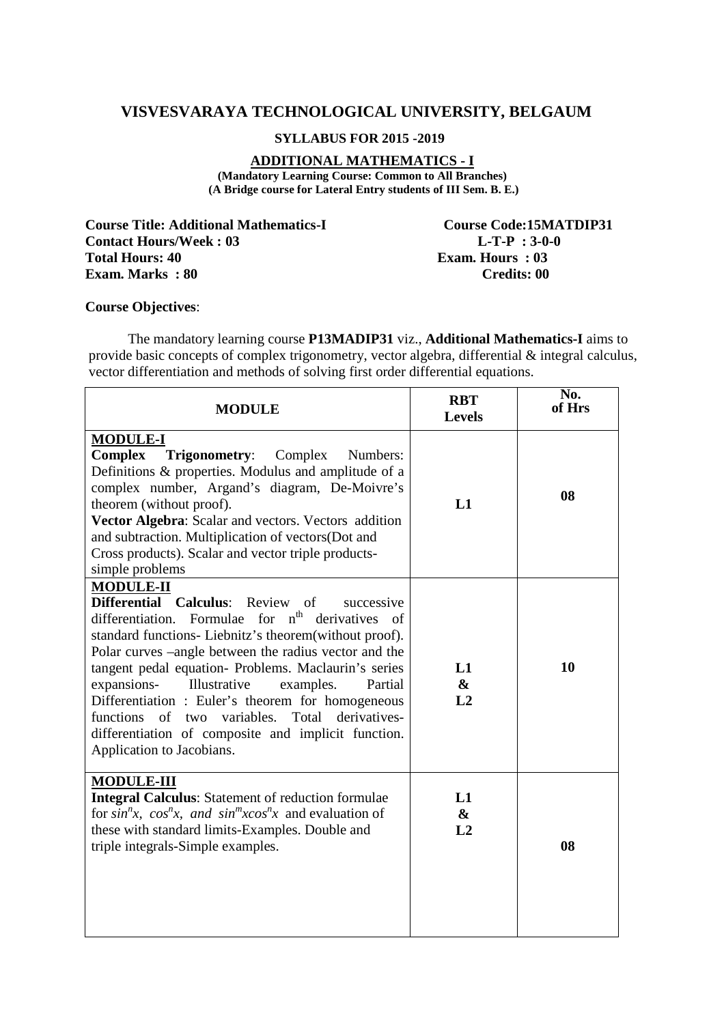## **VISVESVARAYA TECHNOLOGICAL UNIVERSITY, BELGAUM**

### **SYLLABUS FOR 2015 -2019**

**ADDITIONAL MATHEMATICS - I (Mandatory Learning Course: Common to All Branches) (A Bridge course for Lateral Entry students of III Sem. B. E.)** 

**Course Title: Additional Mathematics-I Course Code:15MATDIP31 Contact Hours/Week : 03 L-T-P : 3-0-0 Total Hours: 40 Exam. Hours : 03 Exam.** Marks : 80 **Credits: 00** 

### **Course Objectives**:

 The mandatory learning course **P13MADIP31** viz., **Additional Mathematics-I** aims to provide basic concepts of complex trigonometry, vector algebra, differential & integral calculus, vector differentiation and methods of solving first order differential equations.

| <b>MODULE</b>                                                                                                                                                                                                                                                                                                                                                                                                                                                                                                                                                                  | <b>RBT</b><br><b>Levels</b>   | No.<br>of Hrs |
|--------------------------------------------------------------------------------------------------------------------------------------------------------------------------------------------------------------------------------------------------------------------------------------------------------------------------------------------------------------------------------------------------------------------------------------------------------------------------------------------------------------------------------------------------------------------------------|-------------------------------|---------------|
| <b>MODULE-I</b><br><b>Complex</b><br>Trigonometry:<br>Complex<br>Numbers:<br>Definitions & properties. Modulus and amplitude of a<br>complex number, Argand's diagram, De-Moivre's<br>theorem (without proof).<br>Vector Algebra: Scalar and vectors. Vectors addition<br>and subtraction. Multiplication of vectors(Dot and<br>Cross products). Scalar and vector triple products-<br>simple problems                                                                                                                                                                         | L1                            | 08            |
| <b>MODULE-II</b><br><b>Differential Calculus:</b><br>Review of<br>successive<br>differentiation. Formulae for n <sup>th</sup> derivatives<br>- of<br>standard functions- Liebnitz's theorem(without proof).<br>Polar curves –angle between the radius vector and the<br>tangent pedal equation- Problems. Maclaurin's series<br>Illustrative<br>expansions-<br>examples.<br>Partial<br>Differentiation : Euler's theorem for homogeneous<br>functions of two variables. Total derivatives-<br>differentiation of composite and implicit function.<br>Application to Jacobians. | L1<br>$\boldsymbol{\&}$<br>L2 | 10            |
| <b>MODULE-III</b><br><b>Integral Calculus:</b> Statement of reduction formulae<br>for $sin^{n}x$ , $cos^{n}x$ , and $sin^{m}xcos^{n}x$ and evaluation of<br>these with standard limits-Examples. Double and<br>triple integrals-Simple examples.                                                                                                                                                                                                                                                                                                                               | L1<br>&<br>L2                 | 08            |